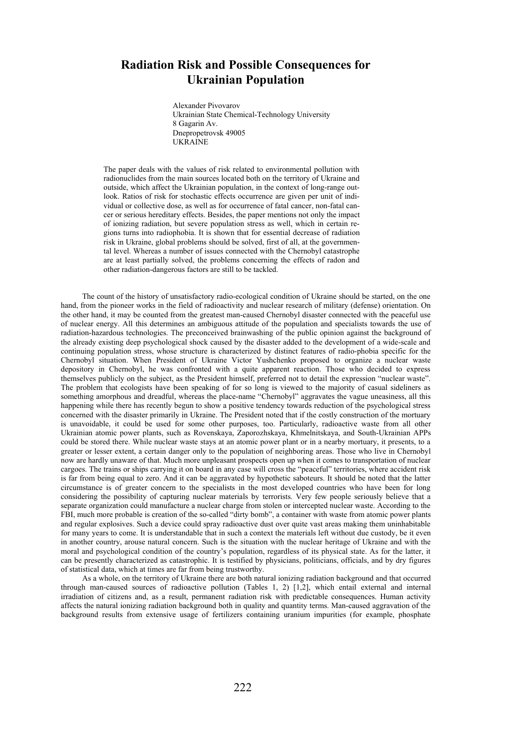## **Radiation Risk and Possible Consequences for Ukrainian Population**

Alexander Pivovarov Ukrainian State Chemical-Technology University 8 Gagarin Av. Dnepropetrovsk 49005 **UKRAINE** 

The paper deals with the values of risk related to environmental pollution with radionuclides from the main sources located both on the territory of Ukraine and outside, which affect the Ukrainian population, in the context of long-range outlook. Ratios of risk for stochastic effects occurrence are given per unit of individual or collective dose, as well as for occurrence of fatal cancer, non-fatal cancer or serious hereditary effects. Besides, the paper mentions not only the impact of ionizing radiation, but severe population stress as well, which in certain regions turns into radiophobia. It is shown that for essential decrease of radiation risk in Ukraine, global problems should be solved, first of all, at the governmental level. Whereas a number of issues connected with the Chernobyl catastrophe are at least partially solved, the problems concerning the effects of radon and other radiation-dangerous factors are still to be tackled.

The count of the history of unsatisfactory radio-ecological condition of Ukraine should be started, on the one hand, from the pioneer works in the field of radioactivity and nuclear research of military (defense) orientation. On the other hand, it may be counted from the greatest man-caused Chernobyl disaster connected with the peaceful use of nuclear energy. All this determines an ambiguous attitude of the population and specialists towards the use of radiation-hazardous technologies. The preconceived brainwashing of the public opinion against the background of the already existing deep psychological shock caused by the disaster added to the development of a wide-scale and continuing population stress, whose structure is characterized by distinct features of radio-phobia specific for the Chernobyl situation. When President of Ukraine Victor Yushchenko proposed to organize a nuclear waste depository in Chernobyl, he was confronted with a quite apparent reaction. Those who decided to express themselves publicly on the subject, as the President himself, preferred not to detail the expression "nuclear waste". The problem that ecologists have been speaking of for so long is viewed to the majority of casual sideliners as something amorphous and dreadful, whereas the place-name "Chernobyl" aggravates the vague uneasiness, all this happening while there has recently begun to show a positive tendency towards reduction of the psychological stress concerned with the disaster primarily in Ukraine. The President noted that if the costly construction of the mortuary is unavoidable, it could be used for some other purposes, too. Particularly, radioactive waste from all other Ukrainian atomic power plants, such as Rovenskaya, Zaporozhskaya, Khmelnitskaya, and South-Ukrainian APPs could be stored there. While nuclear waste stays at an atomic power plant or in a nearby mortuary, it presents, to a greater or lesser extent, a certain danger only to the population of neighboring areas. Those who live in Chernobyl now are hardly unaware of that. Much more unpleasant prospects open up when it comes to transportation of nuclear cargoes. The trains or ships carrying it on board in any case will cross the "peaceful" territories, where accident risk is far from being equal to zero. And it can be aggravated by hypothetic saboteurs. It should be noted that the latter circumstance is of greater concern to the specialists in the most developed countries who have been for long considering the possibility of capturing nuclear materials by terrorists. Very few people seriously believe that a separate organization could manufacture a nuclear charge from stolen or intercepted nuclear waste. According to the FBI, much more probable is creation of the so-called "dirty bomb", a container with waste from atomic power plants and regular explosives. Such a device could spray radioactive dust over quite vast areas making them uninhabitable for many years to come. It is understandable that in such a context the materials left without due custody, be it even in another country, arouse natural concern. Such is the situation with the nuclear heritage of Ukraine and with the moral and psychological condition of the country's population, regardless of its physical state. As for the latter, it can be presently characterized as catastrophic. It is testified by physicians, politicians, officials, and by dry figures of statistical data, which at times are far from being trustworthy.

As a whole, on the territory of Ukraine there are both natural ionizing radiation background and that occurred through man-caused sources of radioactive pollution (Tables 1, 2) [1,2], which entail external and internal irradiation of citizens and, as a result, permanent radiation risk with predictable consequences. Human activity affects the natural ionizing radiation background both in quality and quantity terms. Man-caused aggravation of the background results from extensive usage of fertilizers containing uranium impurities (for example, phosphate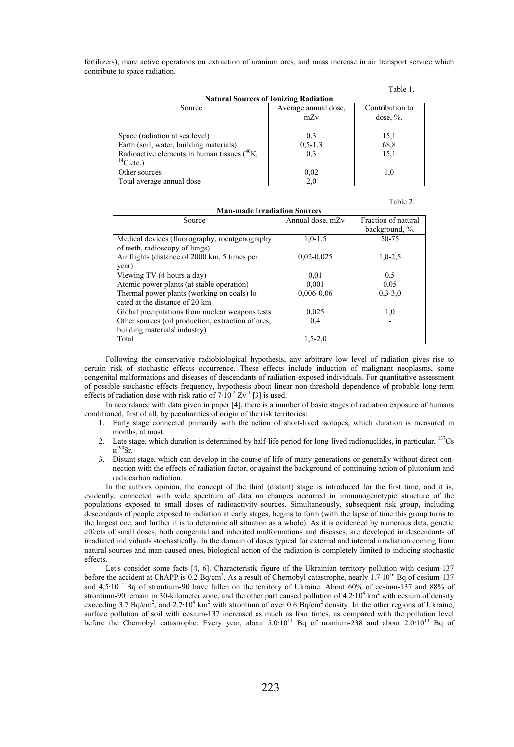fertilizers), more active operations on extraction of uranium ores, and mass increase in air transport service which contribute to space radiation.

|                                                                       |                      | Table 1.        |  |  |  |
|-----------------------------------------------------------------------|----------------------|-----------------|--|--|--|
| <b>Natural Sources of Ionizing Radiation</b>                          |                      |                 |  |  |  |
| Source                                                                | Average annual dose, | Contribution to |  |  |  |
|                                                                       | mZv                  | dose, $\%$ .    |  |  |  |
| Space (radiation at sea level)                                        | 0,3                  | 15,1            |  |  |  |
| Earth (soil, water, building materials)                               | $0, 5 - 1, 3$        | 68,8            |  |  |  |
| Radioactive elements in human tissues $(^{40}K, )$<br>$^{14}$ C etc.) | 0.3                  | 15,1            |  |  |  |
| Other sources                                                         | 0,02                 | 1,0             |  |  |  |
| Total average annual dose                                             | 2,0                  |                 |  |  |  |

| <b>Man-made Irradiation Sources</b>                |                  |                     |  |  |
|----------------------------------------------------|------------------|---------------------|--|--|
| Source                                             | Annual dose, mZv | Fraction of natural |  |  |
|                                                    |                  | background, %.      |  |  |
| Medical devices (fluorography, roentgenography     | $1.0 - 1.5$      | 50-75               |  |  |
| of teeth, radioscopy of lungs)                     |                  |                     |  |  |
| Air flights (distance of 2000 km, 5 times per      | $0,02-0,025$     | $1,0-2,5$           |  |  |
| year)                                              |                  |                     |  |  |
| Viewing TV (4 hours a day)                         | 0.01             | 0.5                 |  |  |
| Atomic power plants (at stable operation)          | 0,001            | 0.05                |  |  |
| Thermal power plants (working on coals) lo-        | 0,006-0,06       | $0, 3 - 3, 0$       |  |  |
| cated at the distance of 20 km                     |                  |                     |  |  |
| Global precipitations from nuclear weapons tests   | 0,025            | 1,0                 |  |  |
| Other sources (oil production, extraction of ores, | 0,4              |                     |  |  |
| building materials' industry)                      |                  |                     |  |  |
| Total                                              | $1.5 - 2.0$      |                     |  |  |

Following the conservative radiobiological hypothesis, any arbitrary low level of radiation gives rise to certain risk of stochastic effects occurrence. These effects include induction of malignant neoplasms, some congenital malformations and diseases of descendants of radiation-exposed individuals. For quantitative assessment of possible stochastic effects frequency, hypothesis about linear non-threshold dependence of probable long-term effects of radiation dose with risk ratio of  $7.10^{-2}$  Zv<sup>-1</sup> [3] is used.

In accordance with data given in paper [4], there is a number of basic stages of radiation exposure of humans conditioned, first of all, by peculiarities of origin of the risk territories:

- 1. Early stage connected primarily with the action of short-lived isotopes, which duration is measured in months, at most.
- 2. Late stage, which duration is determined by half-life period for long-lived radionuclides, in particular,  $137Cs$ и $90$ Sr.
- 3. Distant stage, which can develop in the course of life of many generations or generally without direct connection with the effects of radiation factor, or against the background of continuing action of plutonium and radiocarbon radiation.

In the authors opinion, the concept of the third (distant) stage is introduced for the first time, and it is, evidently, connected with wide spectrum of data on changes occurred in immunogenotypic structure of the populations exposed to small doses of radioactivity sources. Simultaneously, subsequent risk group, including descendants of people exposed to radiation at early stages, begins to form (with the lapse of time this group turns to the largest one, and further it is to determine all situation as a whole). As it is evidenced by numerous data, genetic effects of small doses, both congenital and inherited malformations and diseases, are developed in descendants of irradiated individuals stochastically. In the domain of doses typical for external and internal irradiation coming from natural sources and man-caused ones, biological action of the radiation is completely limited to inducing stochastic effects.

Let's consider some facts [4, 6]. Characteristic figure of the Ukrainian territory pollution with cesium-137 before the accident at ChAPP is 0.2 Bq/cm<sup>2</sup>. As a result of Chernobyl catastrophe, nearly  $1.7 \cdot 10^{16}$  Bq of cesium-137 and 4,5·1015 Bq of strontium-90 have fallen on the territory of Ukraine. About 60% of cesium-137 and 88% of strontium-90 remain in 30-kilometer zone, and the other part caused pollution of  $4.2 \cdot 10^4$  km<sup>2</sup> with cesium of density exceeding 3.7 Bq/cm<sup>2</sup>, and 2.7·10<sup>4</sup> km<sup>2</sup> with strontium of over 0.6 Bq/cm<sup>2</sup> density. In the other regions of Ukraine, surface pollution of soil with cesium-137 increased as much as four times, as compared with the pollution level<br>before the Chernobyl catastrophe. Every year, about 5.0·10<sup>11</sup> Bq of uranium-238 and about 2.0·10<sup>13</sup> Bq of

Table 2.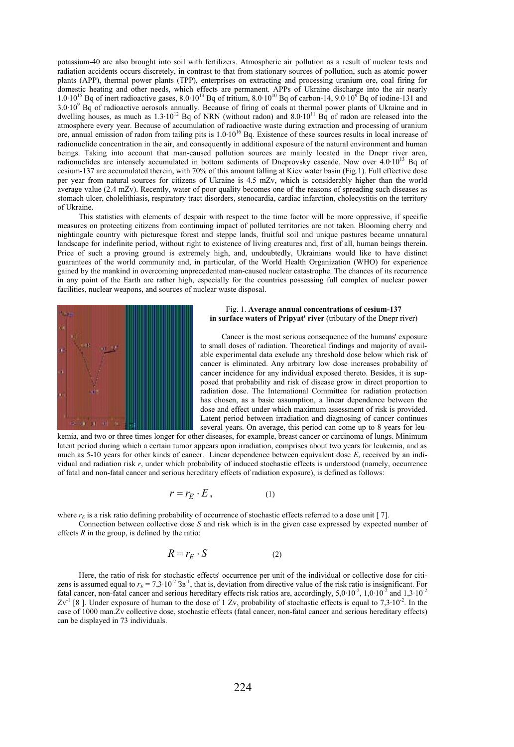potassium-40 are also brought into soil with fertilizers. Atmospheric air pollution as a result of nuclear tests and radiation accidents occurs discretely, in contrast to that from stationary sources of pollution, such as atomic power plants (APP), thermal power plants (TPP), enterprises on extracting and processing uranium ore, coal firing for domestic heating and other needs, which effects are permanent. APPs of Ukraine discharge into the air nearly<br> $1.0 \cdot 10^{15}$  Bq of inert radioactive gases, 8.0 $\cdot 10^{13}$  Bq of tritium, 8.0 $\cdot 10^{10}$  Bq of carbon-14, 9.03.0·109 Bq of radioactive aerosols annually. Because of firing of coals at thermal power plants of Ukraine and in dwelling houses, as much as  $1.3 \cdot 10^{12}$  Bq of NRN (without radon) and  $8.0 \cdot 10^{11}$  Bq of radon are released into the atmosphere every year. Because of accumulation of radioactive waste during extraction and processing of uranium ore, annual emission of radon from tailing pits is  $1.0 \cdot 10^{16}$  Bq. Existence of these sources results in local increase of radionuclide concentration in the air, and consequently in additional exposure of the natural environment and human beings. Taking into account that man-caused pollution sources are mainly located in the Dnepr river area, radionuclides are intensely accumulated in bottom sediments of Dneprovsky cascade. Now over  $4.0 \cdot 10^{13}$  Bq of cesium-137 are accumulated therein, with 70% of this amount falling at Kiev water basin (Fig.1). Full effective dose per year from natural sources for citizens of Ukraine is 4.5 mZv, which is considerably higher than the world average value (2.4 mZv). Recently, water of poor quality becomes one of the reasons of spreading such diseases as stomach ulcer, cholelithiasis, respiratory tract disorders, stenocardia, cardiac infarction, cholecystitis on the territory of Ukraine.

This statistics with elements of despair with respect to the time factor will be more oppressive, if specific measures on protecting citizens from continuing impact of polluted territories are not taken. Blooming cherry and nightingale country with picturesque forest and steppe lands, fruitful soil and unique pastures became unnatural landscape for indefinite period, without right to existence of living creatures and, first of all, human beings therein. Price of such a proving ground is extremely high, and, undoubtedly, Ukrainians would like to have distinct guarantees of the world community and, in particular, of the World Health Organization (WHO) for experience gained by the mankind in overcoming unprecedented man-caused nuclear catastrophe. The chances of its recurrence in any point of the Earth are rather high, especially for the countries possessing full complex of nuclear power facilities, nuclear weapons, and sources of nuclear waste disposal.



## Fig. 1. **Average annual concentrations of cesium-137**  in surface waters of Pripyat' river (tributary of the Dnepr river)

Cancer is the most serious consequence of the humans' exposure to small doses of radiation. Theoretical findings and majority of available experimental data exclude any threshold dose below which risk of cancer is eliminated. Any arbitrary low dose increases probability of cancer incidence for any individual exposed thereto. Besides, it is supposed that probability and risk of disease grow in direct proportion to radiation dose. The International Committee for radiation protection has chosen, as a basic assumption, a linear dependence between the dose and effect under which maximum assessment of risk is provided. Latent period between irradiation and diagnosing of cancer continues several years. On average, this period can come up to 8 years for leu-

kemia, and two or three times longer for other diseases, for example, breast cancer or carcinoma of lungs. Minimum latent period during which a certain tumor appears upon irradiation, comprises about two years for leukemia, and as much as 5-10 years for other kinds of cancer. Linear dependence between equivalent dose E, received by an individual and radiation risk *r*, under which probability of induced stochastic effects is understood (namely, occurrence of fatal and non-fatal cancer and serious hereditary effects of radiation exposure), is defined as follows:

$$
r = r_E \cdot E \,, \tag{1}
$$

where  $r<sub>E</sub>$  is a risk ratio defining probability of occurrence of stochastic effects referred to a dose unit [ 7].

Connection between collective dose *S* and risk which is in the given case expressed by expected number of effects  $R$  in the group, is defined by the ratio:

$$
R = r_E \cdot S \tag{2}
$$

Here, the ratio of risk for stochastic effects' occurrence per unit of the individual or collective dose for citizens is assumed equal to  $r<sub>E</sub> = 7,3 \cdot 10^{-2}$  3<sup>r-1</sup>, that is, deviation from directive value of the risk ratio is insignificant. For fatal cancer, non-fatal cancer and serious hereditary effects risk ratios are, accordingly, 5,0·10<sup>-2</sup>, 1,0·10<sup>-2</sup> and 1,3·10<sup>-2</sup>  $Zv<sup>-1</sup>$  [8]. Under exposure of human to the dose of 1 Zv, probability of stochastic effects is equal to 7,3·10<sup>-2</sup>. In the case of 1000 man.Zv collective dose, stochastic effects (fatal cancer, non-fatal cancer and serious hereditary effects) can be displayed in 73 individuals.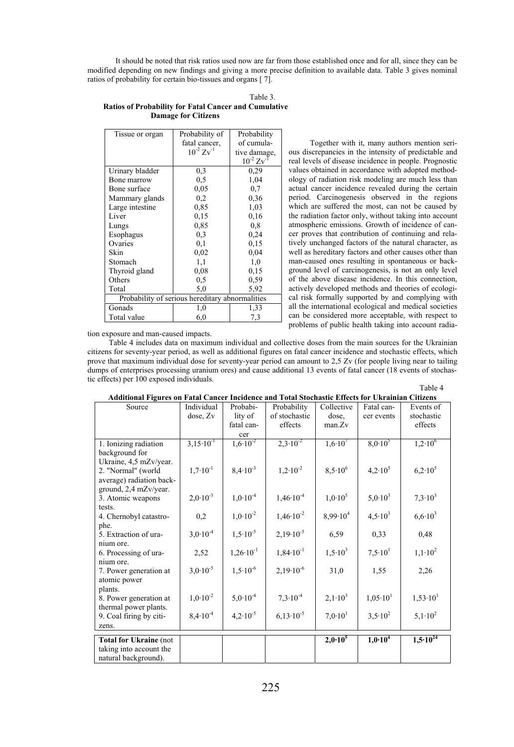It should be noted that risk ratios used now are far from those established once and for all, since they can be modified depending on new findings and giving a more precise definition to available data. Table 3 gives nominal ratios of probability for certain bio-tissues and organs [ 7].

|                                                              | Table 3. |
|--------------------------------------------------------------|----------|
| <b>Ratios of Probability for Fatal Cancer and Cumulative</b> |          |
| <b>Damage for Citizens</b>                                   |          |

| Tissue or organ                                 | Probability of    | Probability       |  |  |
|-------------------------------------------------|-------------------|-------------------|--|--|
|                                                 | fatal cancer,     | of cumula-        |  |  |
|                                                 | $10^{-2} Zv^{-1}$ | tive damage,      |  |  |
|                                                 |                   | $10^{-2} Zv^{-1}$ |  |  |
| Urinary bladder                                 | 0,3               | 0.29              |  |  |
| Bone marrow                                     | 0.5               | 1,04              |  |  |
| Bone surface                                    | 0.05              | 0,7               |  |  |
| Mammary glands                                  | 0,2               | 0.36              |  |  |
| Large intestine                                 | 0.85              | 1,03              |  |  |
| Liver                                           | 0.15              | 0,16              |  |  |
| Lungs                                           | 0,85              | 0,8               |  |  |
| Esophagus                                       | 0.3               | 0.24              |  |  |
| Ovaries                                         | 0,1               | 0.15              |  |  |
| Skin                                            | 0.02              | 0,04              |  |  |
| Stomach                                         | 1,1               | 1,0               |  |  |
| Thyroid gland                                   | 0.08              | 0,15              |  |  |
| Others                                          | 0,5               | 0.59              |  |  |
| Total                                           | 5,0               | 5,92              |  |  |
| Probability of serious hereditary abnormalities |                   |                   |  |  |
| Gonads                                          | 1,0               | 1,33              |  |  |
| Total value                                     | 6,0               | 7,3               |  |  |

Together with it, many authors mention serious discrepancies in the intensity of predictable and real levels of disease incidence in people. Prognostic values obtained in accordance with adopted methodology of radiation risk modeling are much less than actual cancer incidence revealed during the certain period. Carcinogenesis observed in the regions which are suffered the most, can not be caused by the radiation factor only, without taking into account atmospheric emissions. Growth of incidence of cancer proves that contribution of continuing and relatively unchanged factors of the natural character, as well as hereditary factors and other causes other than man-caused ones resulting in spontaneous or background level of carcinogenesis, is not an only level of the above disease incidence. In this connection, actively developed methods and theories of ecological risk formally supported by and complying with all the international ecological and medical societies can be considered more acceptable, with respect to problems of public health taking into account radia-

tion exposure and man-caused impacts.

Table 4 includes data on maximum individual and collective doses from the main sources for the Ukrainian citizens for seventy-year period, as well as additional figures on fatal cancer incidence and stochastic effects, which prove that maximum individual dose for seventy-year period can amount to 2,5 Zv (for people living near to tailing dumps of enterprises processing uranium ores) and cause additional 13 events of fatal cancer (18 events of stochastic effects) per 100 exposed individuals.

| Source                                                   | Individual           | Probabi-             | Probability          | Collective          | Fatal can-          | Events of           |
|----------------------------------------------------------|----------------------|----------------------|----------------------|---------------------|---------------------|---------------------|
|                                                          | dose, Zv             | lity of              | of stochastic        | dose,               | cer events          | stochastic          |
|                                                          |                      | fatal can-           | effects              | man.Zv              |                     | effects             |
|                                                          |                      | cer                  |                      |                     |                     |                     |
| 1. Ionizing radiation                                    | $3.15 \cdot 10^{-1}$ | $1,6.10^{2}$         | $2.3 \cdot 10^{-2}$  | $1,6.10^{7}$        | $8.0 \cdot 10^5$    | $1,2.10^6$          |
| background for                                           |                      |                      |                      |                     |                     |                     |
| Ukraine, 4,5 mZv/year.                                   |                      |                      |                      |                     |                     |                     |
| 2. "Normal" (world                                       | $1,7.10^{-1}$        | $8,4.10^{-3}$        | $1,2.10^{-2}$        | $8,5.10^{6}$        | $4,2.10^5$          | $6.2 \cdot 10^5$    |
| average) radiation back-                                 |                      |                      |                      |                     |                     |                     |
| ground, 2,4 mZv/year.                                    |                      |                      |                      |                     |                     |                     |
| 3. Atomic weapons                                        | $2,0.10^{-3}$        | $1,0.10^{-4}$        | $1,46 \cdot 10^{-4}$ | $1,0.10^5$          | $5,0.10^3$          | $7,3.10^{3}$        |
| tests.                                                   |                      |                      |                      |                     |                     |                     |
| 4. Chernobyl catastro-                                   | 0,2                  | $1,0.10^{-2}$        | $1,46 \cdot 10^{-2}$ | $8.99 \cdot 10^{4}$ | $4.5 \cdot 10^{3}$  | $6,6.10^{3}$        |
| phe.                                                     | $3,0.10^{-4}$        | $1,5.10^{-5}$        | $2,19.10^{-5}$       |                     |                     |                     |
| 5. Extraction of ura-                                    |                      |                      |                      | 6,59                | 0,33                | 0,48                |
| nium ore.<br>6. Processing of ura-                       | 2,52                 | $1,26 \cdot 10^{-1}$ | $1,84 \cdot 10^{-1}$ | $1,5.10^3$          | $7.5 \cdot 10^{1}$  | $1,1.10^2$          |
| nium ore.                                                |                      |                      |                      |                     |                     |                     |
| 7. Power generation at                                   | $3.0 \cdot 10^{-5}$  | $1,5.10^{-6}$        | $2,19.10^{-6}$       | 31,0                | 1,55                | 2,26                |
| atomic power                                             |                      |                      |                      |                     |                     |                     |
| plants.                                                  |                      |                      |                      |                     |                     |                     |
| 8. Power generation at                                   | $1.0 \cdot 10^{-2}$  | $5,0.10^{-4}$        | $7.3 \cdot 10^{-4}$  | $2,1.10^3$          | $1,05 \cdot 10^{1}$ | $1,53 \cdot 10^{1}$ |
| thermal power plants.                                    |                      |                      |                      |                     |                     |                     |
| 9. Coal firing by citi-                                  | $8,4.10^{-4}$        | $4,2.10^{-5}$        | $6.13 \cdot 10^{-5}$ | $7.0 \cdot 10^{1}$  | $3.5 \cdot 10^{2}$  | $5,1.10^2$          |
| zens.                                                    |                      |                      |                      |                     |                     |                     |
|                                                          |                      |                      |                      | $2,0.10^{5}$        | 1,0.10 <sup>4</sup> | $1,5.10^{24}$       |
| <b>Total for Ukraine (not</b><br>taking into account the |                      |                      |                      |                     |                     |                     |
| natural background).                                     |                      |                      |                      |                     |                     |                     |
|                                                          |                      |                      |                      |                     |                     |                     |

**Table 4 Additional Figures on Fatal Cancer Incidence and Total Stochastic Effects for Ukrainian Citizens**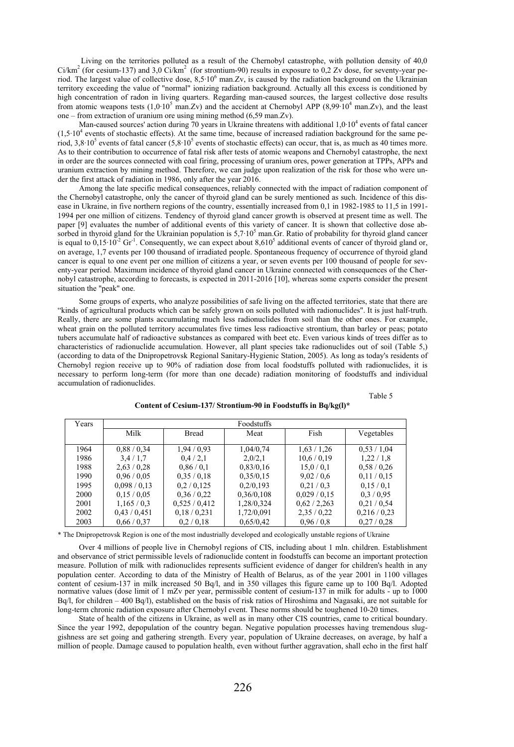Living on the territories polluted as a result of the Chernobyl catastrophe, with pollution density of 40,0  $Ci/km<sup>2</sup>$  (for cesium-137) and 3,0 Ci/km<sup>2</sup> (for strontium-90) results in exposure to 0,2 Zv dose, for seventy-year period. The largest value of collective dose,  $8,5.10^6$  man. Zv, is caused by the radiation background on the Ukrainian territory exceeding the value of "normal" ionizing radiation background. Actually all this excess is conditioned by high concentration of radon in living quarters. Regarding man-caused sources, the largest collective dose results from atomic weapons tests  $(1,0.10^5 \text{ man.Zv})$  and the accident at Chernobyl APP  $(8,99.10^4 \text{ man.Zv})$ , and the least one – from extraction of uranium ore using mining method (6,59 man.Zv).

Man-caused sources' action during 70 years in Ukraine threatens with additional 1,0·10<sup>4</sup> events of fatal cancer  $(1,5.10<sup>4</sup>$  events of stochastic effects). At the same time, because of increased radiation background for the same period,  $3,8 \cdot 10^5$  events of fatal cancer  $(5,8 \cdot 10^5)$  events of stochastic effects) can occur, that is, as much as 40 times more. As to their contribution to occurrence of fatal risk after tests of atomic weapons and Chernobyl catastrophe, the next in order are the sources connected with coal firing, processing of uranium ores, power generation at TPPs, APPs and uranium extraction by mining method. Therefore, we can judge upon realization of the risk for those who were under the first attack of radiation in 1986, only after the year 2016.

Among the late specific medical consequences, reliably connected with the impact of radiation component of the Chernobyl catastrophe, only the cancer of thyroid gland can be surely mentioned as such. Incidence of this disease in Ukraine, in five northern regions of the country, essentially increased from 0,1 in 1982-1985 to 11,5 in 1991- 1994 per one million of citizens. Tendency of thyroid gland cancer growth is observed at present time as well. The paper [9] evaluates the number of additional events of this variety of cancer. It is shown that collective dose absorbed in thyroid gland for the Ukrainian population is  $5.7 \cdot 10^5$  man. Gr. Ratio of probability for thyroid gland cancer is equal to  $0,15 \cdot 10^{-2}$  Gr<sup>-1</sup>. Consequently, we can expect about 8,610<sup>5</sup> additional events of cancer of thyroid gland or, on average, 1,7 events per 100 thousand of irradiated people. Spontaneous frequency of occurrence of thyroid gland cancer is equal to one event per one million of citizens a year, or seven events per 100 thousand of people for seventy-year period. Maximum incidence of thyroid gland cancer in Ukraine connected with consequences of the Chernobyl catastrophe, according to forecasts, is expected in 2011-2016 [10], whereas some experts consider the present situation the "peak" one.

Some groups of experts, who analyze possibilities of safe living on the affected territories, state that there are "kinds of agricultural products which can be safely grown on soils polluted with radionuclides". It is just half-truth. Really, there are some plants accumulating much less radionuclides from soil than the other ones. For example, wheat grain on the polluted territory accumulates five times less radioactive strontium, than barley or peas; potato tubers accumulate half of radioactive substances as compared with beet etc. Even various kinds of trees differ as to characteristics of radionuclide accumulation. However, all plant species take radionuclides out of soil (Table 5,) (according to data of the Dnipropetrovsk Regional Sanitary-Hygienic Station, 2005). As long as today's residents of Chernobyl region receive up to 90% of radiation dose from local foodstuffs polluted with radionuclides, it is necessary to perform long-term (for more than one decade) radiation monitoring of foodstuffs and individual accumulation of radionuclides.

Table 5

| Years | Foodstuffs  |              |            |            |             |  |
|-------|-------------|--------------|------------|------------|-------------|--|
|       | Milk        | <b>Bread</b> | Meat       | Fish       | Vegetables  |  |
| 1964  | 0.88 / 0.34 | 1,94/0,93    | 1,04/0,74  | 1,63/1,26  | 0.53 / 1.04 |  |
| 1986  | 3.4/1.7     | 0.4/2.1      | 2,0/2,1    | 10,6/0,19  | 1,22/1,8    |  |
| 1988  | 2,63/0,28   | 0.86/0.1     | 0,83/0,16  | 15.0 / 0.1 | 0.58 / 0.26 |  |
| 1990  | 0.96 / 0.05 | 0.35/0.18    | 0,35/0,15  | 9,02/0,6   | 0,11/0,15   |  |
| 1995  | 0,098/0,13  | 0,2/0,125    | 0,2/0,193  | 0.21/0.3   | 0,15/0,1    |  |
| 2000  | 0.15 / 0.05 | 0,36/0,22    | 0,36/0,108 | 0,029/0,15 | 0.3 / 0.95  |  |
| 2001  | 1,165/0,3   | 0,525/0,412  | 1,28/0,324 | 0,62/2,263 | 0.21 / 0.54 |  |
| 2002  | 0,43/0,451  | 0,18/0,231   | 1,72/0,091 | 2,35/0,22  | 0,216/0,23  |  |
| 2003  | 0,66/0,37   | 0.2 / 0.18   | 0,65/0,42  | 0.96/0.8   | 0.27 / 0.28 |  |

**Content of Cesium-137/ Strontium-90 in Foodstuffs in Bq/kg(l)\*** 

\* The Dnipropetrovsk Region is one of the most industrially developed and ecologically unstable regions of Ukraine

Over 4 millions of people live in Chernobyl regions of CIS, including about 1 mln. children. Establishment and observance of strict permissible levels of radionuclide content in foodstuffs can become an important protection measure. Pollution of milk with radionuclides represents sufficient evidence of danger for children's health in any population center. According to data of the Ministry of Health of Belarus, as of the year 2001 in 1100 villages content of cesium-137 in milk increased 50 Bq/l, and in 350 villages this figure came up to 100 Bq/l. Adopted normative values (dose limit of 1 mZv per year, permissible content of cesium-137 in milk for adults - up to 1000 Bq/l, for children – 400 Bq/l), established on the basis of risk ratios of Hiroshima and Nagasaki, are not suitable for long-term chronic radiation exposure after Chernobyl event. These norms should be toughened 10-20 times.

State of health of the citizens in Ukraine, as well as in many other CIS countries, came to critical boundary. Since the year 1992, depopulation of the country began. Negative population processes having tremendous sluggishness are set going and gathering strength. Every year, population of Ukraine decreases, on average, by half a million of people. Damage caused to population health, even without further aggravation, shall echo in the first half